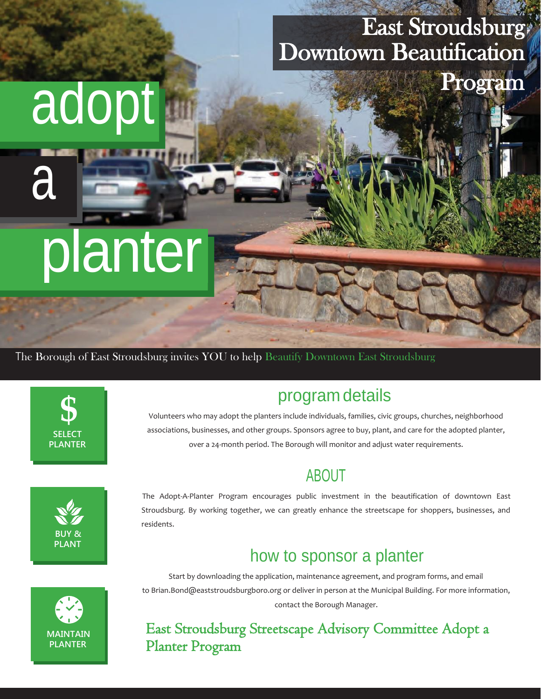# East Stroudsburg Downtown Beautification

Program

# planter

adopt

The Borough of East Stroudsburg invites YOU to help Beautify Downtown East Stroudsburg



a

i<br>I I

l

ׇ֬֕

i

# program details

Volunteers who may adopt the planters include individuals, families, civic groups, churches, neighborhood associations, businesses, and other groups. Sponsors agree to buy, plant, and care for the adopted planter, over a 24-month period. The Borough will monitor and adjust water requirements.

# ABOUT



The Adopt-A-Planter Program encourages public investment in the beautification of downtown East Stroudsburg. By working together, we can greatly enhance the streetscape for shoppers, businesses, and residents.

# how to sponsor a planter



Start by downloading the application, maintenance agreement, and program forms, and email [to Brian.Bond@eaststroudsburgboro.org o](mailto:Brian.Bond@eaststroudsburgboro.org)r deliver in person at the Municipal Building. For more information, contact the Borough Manager.

#### East Stroudsburg Streetscape Advisory Committee Adopt a Planter Program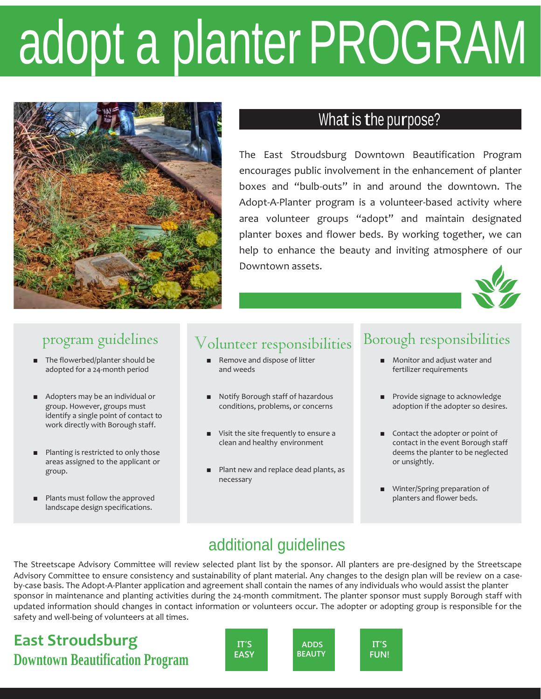# adopt a planterPROGRAM



# What is the purpose?

The East Stroudsburg Downtown Beautification Program encourages public involvement in the enhancement of planter boxes and "bulb-outs" in and around the downtown. The Adopt-A-Planter program is a volunteer-based activity where area volunteer groups "adopt" and maintain designated planter boxes and flower beds. By working together, we can help to enhance the beauty and inviting atmosphere of our Downtown assets.



#### program guidelines

- The flowerbed/planter should be adopted for a 24-month period
- Adopters may be an individual or group. However, groups must identify a single point of contact to work directly with Borough staff.
- Planting is restricted to only those areas assigned to the applicant or group.
- Plants must follow the approved landscape design specifications.

### volunteer responsibilities

- Remove and dispose of litter and weeds
- Notify Borough staff of hazardous conditions, problems, or concerns
- Visit the site frequently to ensure a clean and healthy environment
- Plant new and replace dead plants, as necessary

#### Borough responsibilities

- Monitor and adjust water and fertilizer requirements
- Provide signage to acknowledge adoption if the adopter so desires.
- Contact the adopter or point of contact in the event Borough staff deems the planter to be neglected or unsightly.
- Winter/Spring preparation of planters and flower beds.

### additional guidelines

The Streetscape Advisory Committee will review selected plant list by the sponsor. All planters are pre-designed by the Streetscape Advisory Committee to ensure consistency and sustainability of plant material. Any changes to the design plan will be review on a caseby-case basis. The Adopt-A-Planter application and agreement shall contain the names of any individuals who would assist the planter sponsor in maintenance and planting activities during the 24-month commitment. The planter sponsor must supply Borough staff with updated information should changes in contact information or volunteers occur. The adopter or adopting group is responsible for the safety and well-being of volunteers at all times.

## **East Stroudsburg Downtown Beautification Program**

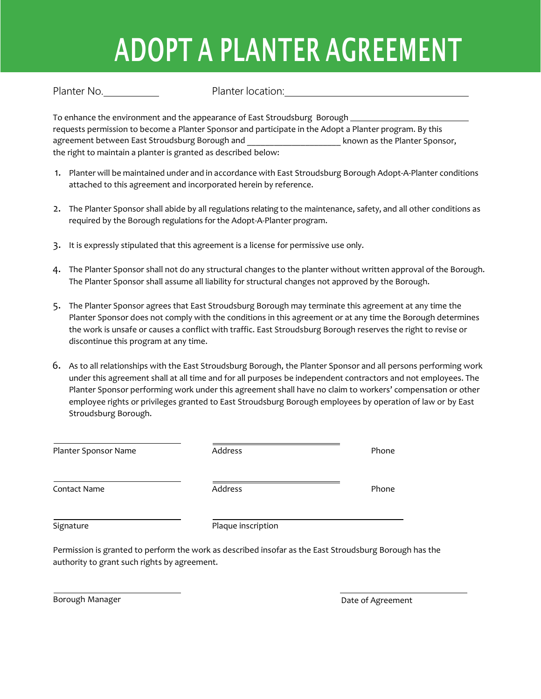# ADOPT A PLANTER AGREEMENT

Planter No. **Planter location:** 

To enhance the environment and the appearance of East Stroudsburg Borough requests permission to become a Planter Sponsor and participate in the Adopt a Planter program. By this agreement between East Stroudsburg Borough and **East Strough and The Planter Sponsor**, the right to maintain a planter is granted as described below:

- 1. Planter will be maintained under and in accordance with East Stroudsburg Borough Adopt-A-Planter conditions attached to this agreement and incorporated herein by reference.
- 2. The Planter Sponsor shall abide by all regulations relating to the maintenance, safety, and all other conditions as required by the Borough regulations for the Adopt-A-Planter program.
- 3. It is expressly stipulated that this agreement is a license for permissive use only.
- 4. The Planter Sponsor shall not do any structural changes to the planter without written approval of the Borough. The Planter Sponsor shall assume all liability for structural changes not approved by the Borough.
- 5. The Planter Sponsor agrees that East Stroudsburg Borough may terminate this agreement at any time the Planter Sponsor does not comply with the conditions in this agreement or at any time the Borough determines the work is unsafe or causes a conflict with traffic. East Stroudsburg Borough reserves the right to revise or discontinue this program at any time.
- 6. As to all relationships with the East Stroudsburg Borough, the Planter Sponsor and all persons performing work under this agreement shall at all time and for all purposes be independent contractors and not employees. The Planter Sponsor performing work under this agreement shall have no claim to workers' compensation or other employee rights or privileges granted to East Stroudsburg Borough employees by operation of law or by East Stroudsburg Borough.

| Planter Sponsor Name | Address            | Phone |
|----------------------|--------------------|-------|
| Contact Name         | Address            | Phone |
| Signature            | Plaque inscription |       |

Permission is granted to perform the work as described insofar as the East Stroudsburg Borough has the authority to grant such rights by agreement.

Borough Manager **Date of Agreement Borough Manager Date of Agreement**